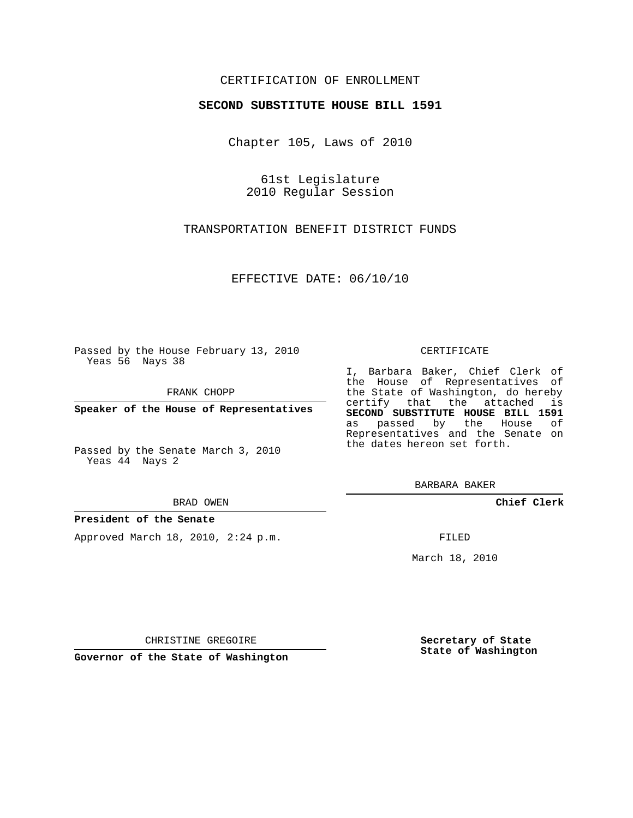### CERTIFICATION OF ENROLLMENT

### **SECOND SUBSTITUTE HOUSE BILL 1591**

Chapter 105, Laws of 2010

61st Legislature 2010 Regular Session

TRANSPORTATION BENEFIT DISTRICT FUNDS

EFFECTIVE DATE: 06/10/10

Passed by the House February 13, 2010 Yeas 56 Nays 38

FRANK CHOPP

**Speaker of the House of Representatives**

Passed by the Senate March 3, 2010 Yeas 44 Nays 2

BRAD OWEN

#### **President of the Senate**

Approved March 18, 2010, 2:24 p.m.

#### CERTIFICATE

I, Barbara Baker, Chief Clerk of the House of Representatives of the State of Washington, do hereby certify that the attached is **SECOND SUBSTITUTE HOUSE BILL 1591** as passed by the House of Representatives and the Senate on the dates hereon set forth.

BARBARA BAKER

**Chief Clerk**

FILED

March 18, 2010

**Secretary of State State of Washington**

CHRISTINE GREGOIRE

**Governor of the State of Washington**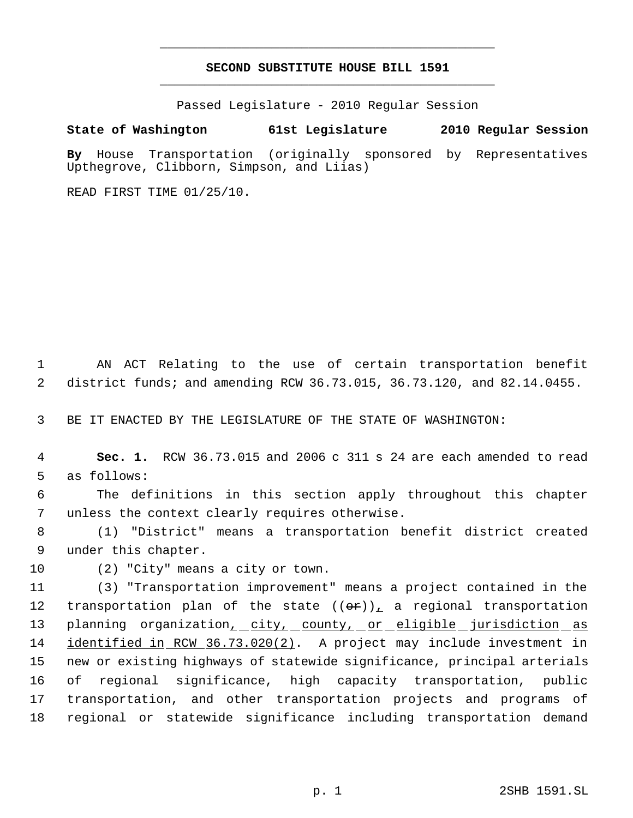# **SECOND SUBSTITUTE HOUSE BILL 1591** \_\_\_\_\_\_\_\_\_\_\_\_\_\_\_\_\_\_\_\_\_\_\_\_\_\_\_\_\_\_\_\_\_\_\_\_\_\_\_\_\_\_\_\_\_

\_\_\_\_\_\_\_\_\_\_\_\_\_\_\_\_\_\_\_\_\_\_\_\_\_\_\_\_\_\_\_\_\_\_\_\_\_\_\_\_\_\_\_\_\_

Passed Legislature - 2010 Regular Session

## **State of Washington 61st Legislature 2010 Regular Session**

**By** House Transportation (originally sponsored by Representatives Upthegrove, Clibborn, Simpson, and Liias)

READ FIRST TIME 01/25/10.

 1 AN ACT Relating to the use of certain transportation benefit 2 district funds; and amending RCW 36.73.015, 36.73.120, and 82.14.0455.

3 BE IT ENACTED BY THE LEGISLATURE OF THE STATE OF WASHINGTON:

 4 **Sec. 1.** RCW 36.73.015 and 2006 c 311 s 24 are each amended to read 5 as follows:

 6 The definitions in this section apply throughout this chapter 7 unless the context clearly requires otherwise.

 8 (1) "District" means a transportation benefit district created 9 under this chapter.

10 (2) "City" means a city or town.

 (3) "Transportation improvement" means a project contained in the 12 transportation plan of the state  $((\theta \hat{r}))_L$  a regional transportation 13 planning organization<sub>1</sub> city, county, or eligible jurisdiction as identified in RCW 36.73.020(2). A project may include investment in new or existing highways of statewide significance, principal arterials of regional significance, high capacity transportation, public transportation, and other transportation projects and programs of regional or statewide significance including transportation demand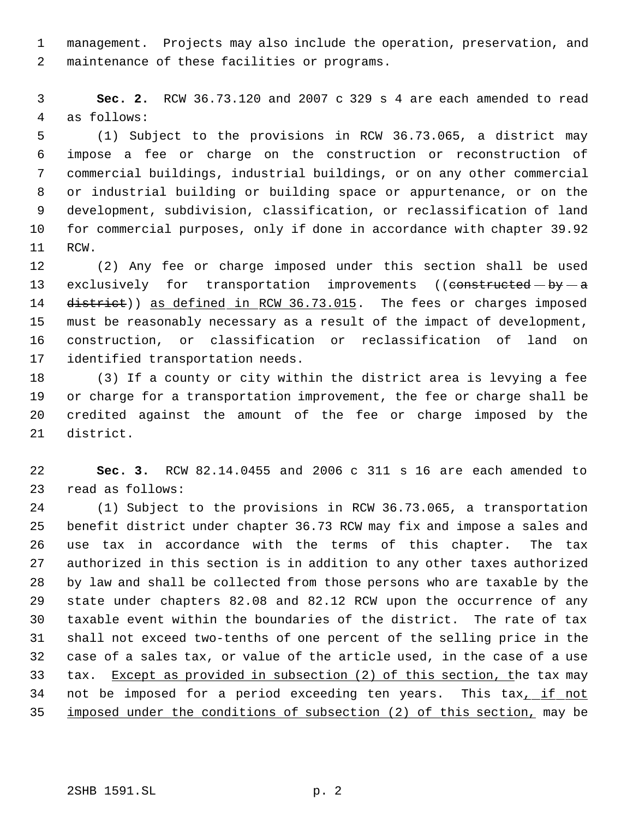management. Projects may also include the operation, preservation, and maintenance of these facilities or programs.

 **Sec. 2.** RCW 36.73.120 and 2007 c 329 s 4 are each amended to read as follows:

 (1) Subject to the provisions in RCW 36.73.065, a district may impose a fee or charge on the construction or reconstruction of commercial buildings, industrial buildings, or on any other commercial or industrial building or building space or appurtenance, or on the development, subdivision, classification, or reclassification of land for commercial purposes, only if done in accordance with chapter 39.92 RCW.

 (2) Any fee or charge imposed under this section shall be used 13 exclusively for transportation improvements ((constructed - by - a 14 district)) as defined in RCW 36.73.015. The fees or charges imposed must be reasonably necessary as a result of the impact of development, construction, or classification or reclassification of land on identified transportation needs.

 (3) If a county or city within the district area is levying a fee or charge for a transportation improvement, the fee or charge shall be credited against the amount of the fee or charge imposed by the district.

 **Sec. 3.** RCW 82.14.0455 and 2006 c 311 s 16 are each amended to read as follows:

 (1) Subject to the provisions in RCW 36.73.065, a transportation benefit district under chapter 36.73 RCW may fix and impose a sales and use tax in accordance with the terms of this chapter. The tax authorized in this section is in addition to any other taxes authorized by law and shall be collected from those persons who are taxable by the state under chapters 82.08 and 82.12 RCW upon the occurrence of any taxable event within the boundaries of the district. The rate of tax shall not exceed two-tenths of one percent of the selling price in the case of a sales tax, or value of the article used, in the case of a use tax. Except as provided in subsection (2) of this section, the tax may not be imposed for a period exceeding ten years. This tax, if not 35 imposed under the conditions of subsection (2) of this section, may be